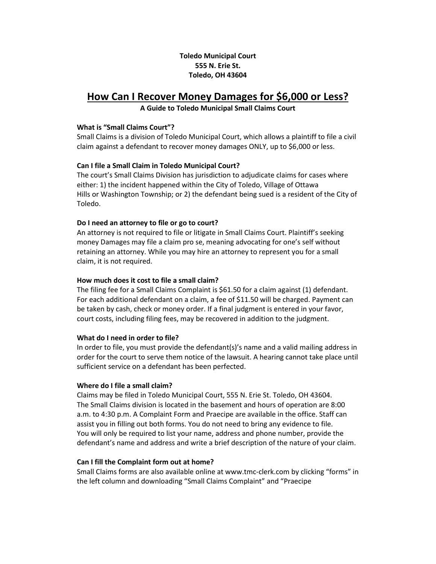# **Toledo Municipal Court 555 N. Erie St. Toledo, OH 43604**

# **How Can I Recover Money Damages for \$6,000 or Less?**

**A Guide to Toledo Municipal Small Claims Court**

## **What is "Small Claims Court"?**

Small Claims is a division of Toledo Municipal Court, which allows a plaintiff to file a civil claim against a defendant to recover money damages ONLY, up to \$6,000 or less.

## **Can I file a Small Claim in Toledo Municipal Court?**

The court's Small Claims Division has jurisdiction to adjudicate claims for cases where either: 1) the incident happened within the City of Toledo, Village of Ottawa Hills or Washington Township; or 2) the defendant being sued is a resident of the City of Toledo.

## **Do I need an attorney to file or go to court?**

An attorney is not required to file or litigate in Small Claims Court. Plaintiff's seeking money Damages may file a claim pro se, meaning advocating for one's self without retaining an attorney. While you may hire an attorney to represent you for a small claim, it is not required.

## **How much does it cost to file a small claim?**

The filing fee for a Small Claims Complaint is \$61.50 for a claim against (1) defendant. For each additional defendant on a claim, a fee of \$11.50 will be charged. Payment can be taken by cash, check or money order. If a final judgment is entered in your favor, court costs, including filing fees, may be recovered in addition to the judgment.

#### **What do I need in order to file?**

In order to file, you must provide the defendant(s)'s name and a valid mailing address in order for the court to serve them notice of the lawsuit. A hearing cannot take place until sufficient service on a defendant has been perfected.

#### **Where do I file a small claim?**

Claims may be filed in Toledo Municipal Court, 555 N. Erie St. Toledo, OH 43604. The Small Claims division is located in the basement and hours of operation are 8:00 a.m. to 4:30 p.m. A Complaint Form and Praecipe are available in the office. Staff can assist you in filling out both forms. You do not need to bring any evidence to file. You will only be required to list your name, address and phone number, provide the defendant's name and address and write a brief description of the nature of your claim.

## **Can I fill the Complaint form out at home?**

Small Claims forms are also available online at www.tmc-clerk.com by clicking "forms" in the left column and downloading "Small Claims Complaint" and "Praecipe